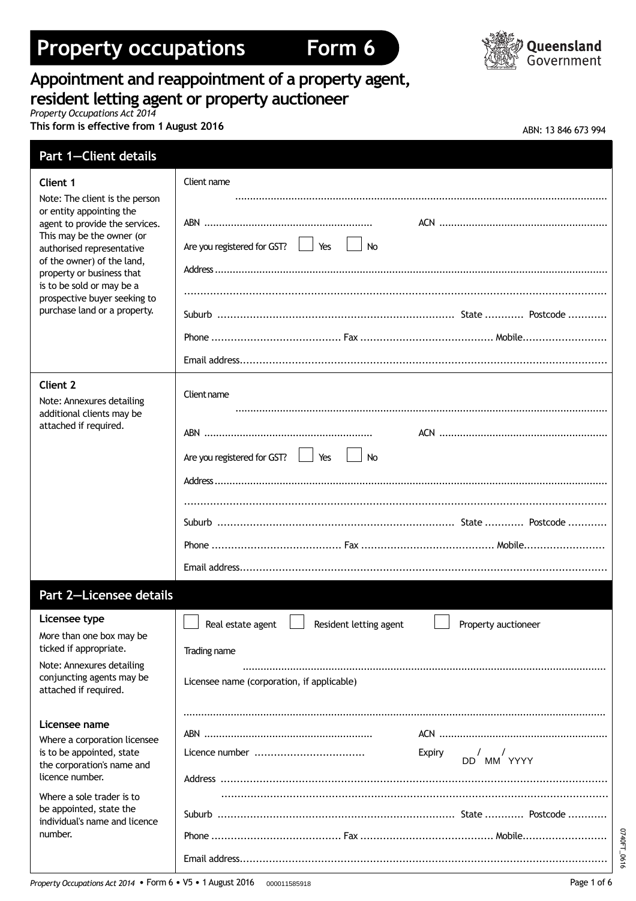# **Property occupations Form 6**





# **Appointment and reappointment of a property agent, resident letting agent or property auctioneer**

*Property Occupations Act 2014*

**This** form is effective from 1 August 2016

| ABN: 13 846 673 994 |  |  |  |  |  |
|---------------------|--|--|--|--|--|
|---------------------|--|--|--|--|--|

| <b>Part 1-Client details</b>                                                                                                                                                                                                                                                                                   |                                                                   |
|----------------------------------------------------------------------------------------------------------------------------------------------------------------------------------------------------------------------------------------------------------------------------------------------------------------|-------------------------------------------------------------------|
| Client 1                                                                                                                                                                                                                                                                                                       | Client name                                                       |
| Note: The client is the person<br>or entity appointing the<br>agent to provide the services.<br>This may be the owner (or<br>authorised representative<br>of the owner) of the land,<br>property or business that<br>is to be sold or may be a<br>prospective buyer seeking to<br>purchase land or a property. | Are you registered for GST?<br>Yes<br>$\vert$ $\vert$ No          |
|                                                                                                                                                                                                                                                                                                                |                                                                   |
|                                                                                                                                                                                                                                                                                                                |                                                                   |
| <b>Client 2</b><br>Note: Annexures detailing<br>additional clients may be                                                                                                                                                                                                                                      | Client name                                                       |
| attached if required.                                                                                                                                                                                                                                                                                          |                                                                   |
|                                                                                                                                                                                                                                                                                                                | Are you registered for GST?<br><b>No</b>                          |
|                                                                                                                                                                                                                                                                                                                |                                                                   |
|                                                                                                                                                                                                                                                                                                                |                                                                   |
|                                                                                                                                                                                                                                                                                                                |                                                                   |
|                                                                                                                                                                                                                                                                                                                |                                                                   |
| <b>Part 2-Licensee details</b>                                                                                                                                                                                                                                                                                 |                                                                   |
| Licensee type                                                                                                                                                                                                                                                                                                  | Real estate agent   Resident letting agent<br>Property auctioneer |
| More than one box may be<br>ticked if appropriate.                                                                                                                                                                                                                                                             |                                                                   |
| Note: Annexures detailing                                                                                                                                                                                                                                                                                      | Trading name                                                      |
| conjuncting agents may be<br>attached if required.                                                                                                                                                                                                                                                             | Licensee name (corporation, if applicable)                        |
| Licensee name                                                                                                                                                                                                                                                                                                  |                                                                   |
| Where a corporation licensee                                                                                                                                                                                                                                                                                   |                                                                   |
| is to be appointed, state<br>the corporation's name and<br>licence number.                                                                                                                                                                                                                                     | Expiry<br>$DD$ $/MM$ $YYYYY$                                      |
| Where a sole trader is to                                                                                                                                                                                                                                                                                      |                                                                   |
| be appointed, state the<br>individual's name and licence                                                                                                                                                                                                                                                       |                                                                   |
| number.                                                                                                                                                                                                                                                                                                        |                                                                   |
|                                                                                                                                                                                                                                                                                                                |                                                                   |

0740FT\_0616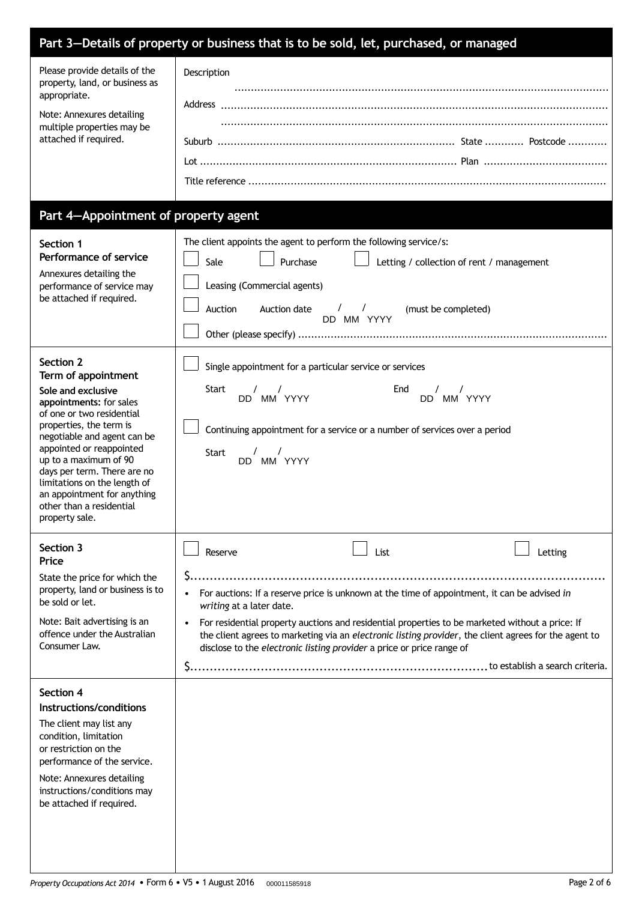|                                                                                                                                                                                                                                                                                                                                                                           | Part 3-Details of property or business that is to be sold, let, purchased, or managed                                                                         |                                                                                                                                                                                                                                                                                                                  |         |
|---------------------------------------------------------------------------------------------------------------------------------------------------------------------------------------------------------------------------------------------------------------------------------------------------------------------------------------------------------------------------|---------------------------------------------------------------------------------------------------------------------------------------------------------------|------------------------------------------------------------------------------------------------------------------------------------------------------------------------------------------------------------------------------------------------------------------------------------------------------------------|---------|
| Please provide details of the<br>property, land, or business as<br>appropriate.<br>Note: Annexures detailing<br>multiple properties may be<br>attached if required.                                                                                                                                                                                                       | Description                                                                                                                                                   |                                                                                                                                                                                                                                                                                                                  |         |
| Part 4-Appointment of property agent                                                                                                                                                                                                                                                                                                                                      |                                                                                                                                                               |                                                                                                                                                                                                                                                                                                                  |         |
| Section 1<br>Performance of service<br>Annexures detailing the<br>performance of service may<br>be attached if required.                                                                                                                                                                                                                                                  | The client appoints the agent to perform the following service/s:<br>Purchase<br>Sale<br>Leasing (Commercial agents)<br>Auction<br>Auction date               | Letting / collection of rent / management<br>$\frac{1}{2}$<br>(must be completed)<br>DD MM YYYY                                                                                                                                                                                                                  |         |
| Section 2<br>Term of appointment<br>Sole and exclusive<br>appointments: for sales<br>of one or two residential<br>properties, the term is<br>negotiable and agent can be<br>appointed or reappointed<br>up to a maximum of 90<br>days per term. There are no<br>limitations on the length of<br>an appointment for anything<br>other than a residential<br>property sale. | Single appointment for a particular service or services<br><b>Start</b><br>$\sqrt{2}$<br>$\sqrt{2}$<br>DD MM YYYY<br>$\sqrt{ }$<br><b>Start</b><br>DD MM YYYY | End<br>$\sqrt{ }$<br>DD MM YYYY<br>Continuing appointment for a service or a number of services over a period                                                                                                                                                                                                    |         |
| Section 3<br>Price<br>State the price for which the<br>property, land or business is to<br>be sold or let.<br>Note: Bait advertising is an<br>offence under the Australian<br>Consumer Law.                                                                                                                                                                               | Reserve<br>writing at a later date.<br>disclose to the electronic listing provider a price or price range of                                                  | List<br>For auctions: If a reserve price is unknown at the time of appointment, it can be advised in<br>For residential property auctions and residential properties to be marketed without a price: If<br>the client agrees to marketing via an electronic listing provider, the client agrees for the agent to | Letting |
| Section 4<br>Instructions/conditions<br>The client may list any<br>condition, limitation<br>or restriction on the<br>performance of the service.<br>Note: Annexures detailing<br>instructions/conditions may<br>be attached if required.                                                                                                                                  |                                                                                                                                                               |                                                                                                                                                                                                                                                                                                                  |         |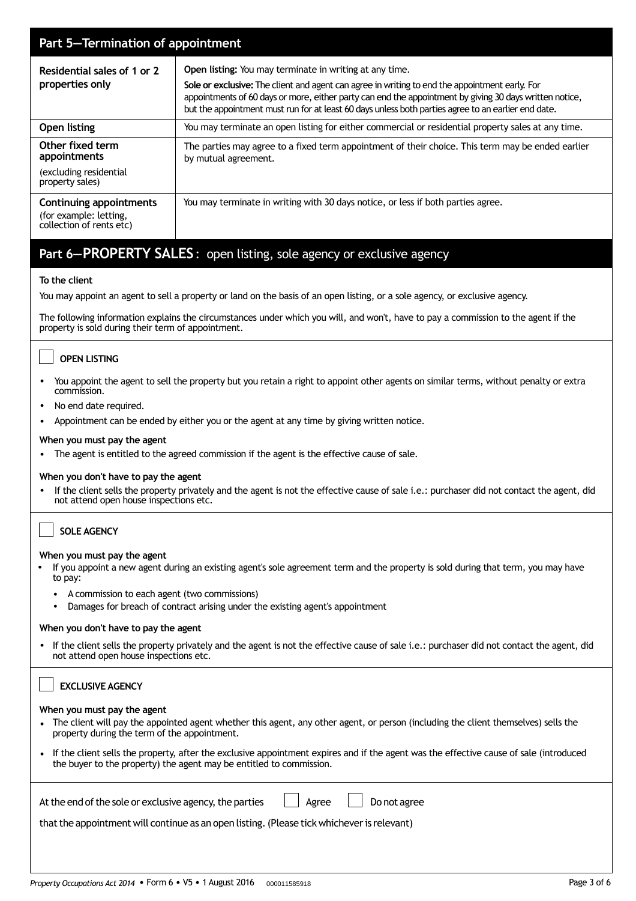| Part 5-Termination of appointment                                             |                                                                                                                                                                                                                                                                                                                                                                             |  |  |  |
|-------------------------------------------------------------------------------|-----------------------------------------------------------------------------------------------------------------------------------------------------------------------------------------------------------------------------------------------------------------------------------------------------------------------------------------------------------------------------|--|--|--|
| Residential sales of 1 or 2<br>properties only                                | Open listing: You may terminate in writing at any time.<br>Sole or exclusive: The client and agent can agree in writing to end the appointment early. For<br>appointments of 60 days or more, either party can end the appointment by giving 30 days written notice,<br>but the appointment must run for at least 60 days unless both parties agree to an earlier end date. |  |  |  |
| Open listing                                                                  | You may terminate an open listing for either commercial or residential property sales at any time.                                                                                                                                                                                                                                                                          |  |  |  |
| Other fixed term<br>appointments                                              | The parties may agree to a fixed term appointment of their choice. This term may be ended earlier<br>by mutual agreement.                                                                                                                                                                                                                                                   |  |  |  |
| (excluding residential<br>property sales)                                     |                                                                                                                                                                                                                                                                                                                                                                             |  |  |  |
| Continuing appointments<br>(for example: letting,<br>collection of rents etc) | You may terminate in writing with 30 days notice, or less if both parties agree.                                                                                                                                                                                                                                                                                            |  |  |  |

# **Part 6—PROPERTY SALES**: open listing, sole agency or exclusive agency

# **To the client**

You may appoint an agent to sell a property or land on the basis of an open listing, or a sole agency, or exclusive agency.

The following information explains the circumstances under which you will, and won't, have to pay a commission to the agent if the property is sold during their term of appointment.

# **OPEN LISTING**

- You appoint the agent to sell the property but you retain a right to appoint other agents on similar terms, without penalty or extra commission.
- No end date required.
- Appointment can be ended by either you or the agent at any time by giving written notice.

# **When you must pay the agent**

• The agent is entitled to the agreed commission if the agent is the effective cause of sale.

# **When you don't have to pay the agent**

• If the client sells the property privately and the agent is not the effective cause of sale i.e.: purchaser did not contact the agent, did not attend open house inspections etc.

# **SOLE AGENCY**

### **When you must pay the agent**

- If you appoint a new agent during an existing agent's sole agreement term and the property is sold during that term, you may have to pay:
	- A commission to each agent (two commissions)
	- Damages for breach of contract arising under the existing agent's appointment

# **When you don't have to pay the agent**

• If the client sells the property privately and the agent is not the effective cause of sale i.e.: purchaser did not contact the agent, did not attend open house inspections etc.

| <b>EXCLUSIVE AGENCY</b>                                                                                                                                                                                             |
|---------------------------------------------------------------------------------------------------------------------------------------------------------------------------------------------------------------------|
| When you must pay the agent<br>• The client will pay the appointed agent whether this agent, any other agent, or person (including the client themselves) sells the<br>property during the term of the appointment. |
| • If the client sells the property, after the exclusive appointment expires and if the agent was the effective cause of sale (introduced<br>the buyer to the property) the agent may be entitled to commission.     |
| At the end of the sole or exclusive agency, the parties<br>Do not agree<br>Agree<br>that the appointment will continue as an open listing. (Please tick whichever is relevant)                                      |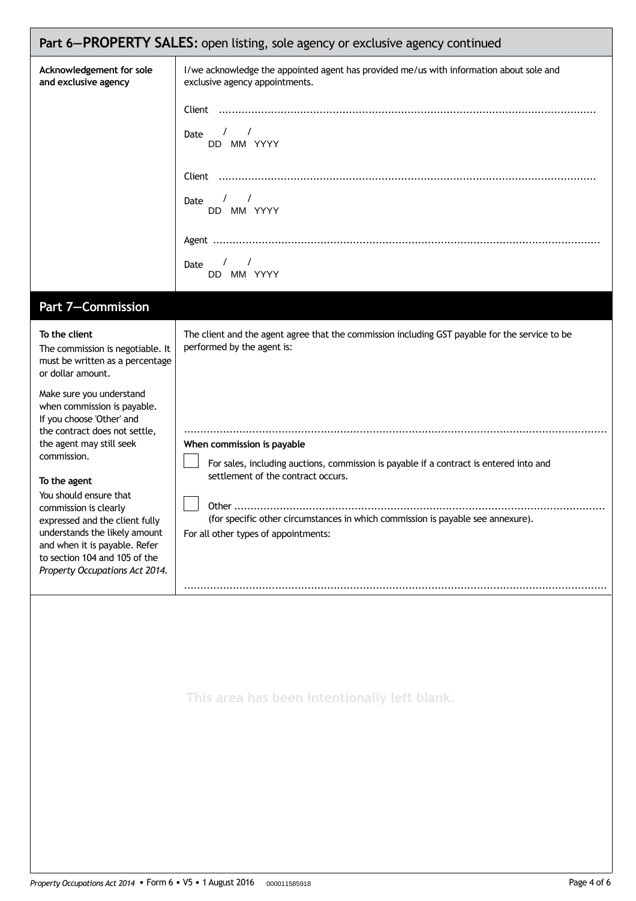| Part 6-PROPERTY SALES: open listing, sole agency or exclusive agency continued                                                                                                                                                                                                                                                                                                                                                                                                                                          |                                                                                                                                                                                                                                                                                                                                                                                                                       |  |  |  |  |
|-------------------------------------------------------------------------------------------------------------------------------------------------------------------------------------------------------------------------------------------------------------------------------------------------------------------------------------------------------------------------------------------------------------------------------------------------------------------------------------------------------------------------|-----------------------------------------------------------------------------------------------------------------------------------------------------------------------------------------------------------------------------------------------------------------------------------------------------------------------------------------------------------------------------------------------------------------------|--|--|--|--|
| Acknowledgement for sole<br>and exclusive agency                                                                                                                                                                                                                                                                                                                                                                                                                                                                        | I/we acknowledge the appointed agent has provided me/us with information about sole and<br>exclusive agency appointments.<br>$\sqrt{1}$<br>Date<br>DD MM YYYY<br>$\frac{1}{2}$<br>Date<br>DD MM YYYY<br>$\sqrt{2}$<br>Date<br>DD MM YYYY                                                                                                                                                                              |  |  |  |  |
| Part 7-Commission                                                                                                                                                                                                                                                                                                                                                                                                                                                                                                       |                                                                                                                                                                                                                                                                                                                                                                                                                       |  |  |  |  |
| To the client<br>The commission is negotiable. It<br>must be written as a percentage<br>or dollar amount.<br>Make sure you understand<br>when commission is payable.<br>If you choose 'Other' and<br>the contract does not settle,<br>the agent may still seek<br>commission.<br>To the agent<br>You should ensure that<br>commission is clearly<br>expressed and the client fully<br>understands the likely amount<br>and when it is payable. Refer<br>to section 104 and 105 of the<br>Property Occupations Act 2014. | The client and the agent agree that the commission including GST payable for the service to be<br>performed by the agent is:<br>When commission is payable<br>For sales, including auctions, commission is payable if a contract is entered into and<br>settlement of the contract occurs.<br>(for specific other circumstances in which commission is payable see annexure).<br>For all other types of appointments: |  |  |  |  |
|                                                                                                                                                                                                                                                                                                                                                                                                                                                                                                                         | This area has been intentionally left blank.                                                                                                                                                                                                                                                                                                                                                                          |  |  |  |  |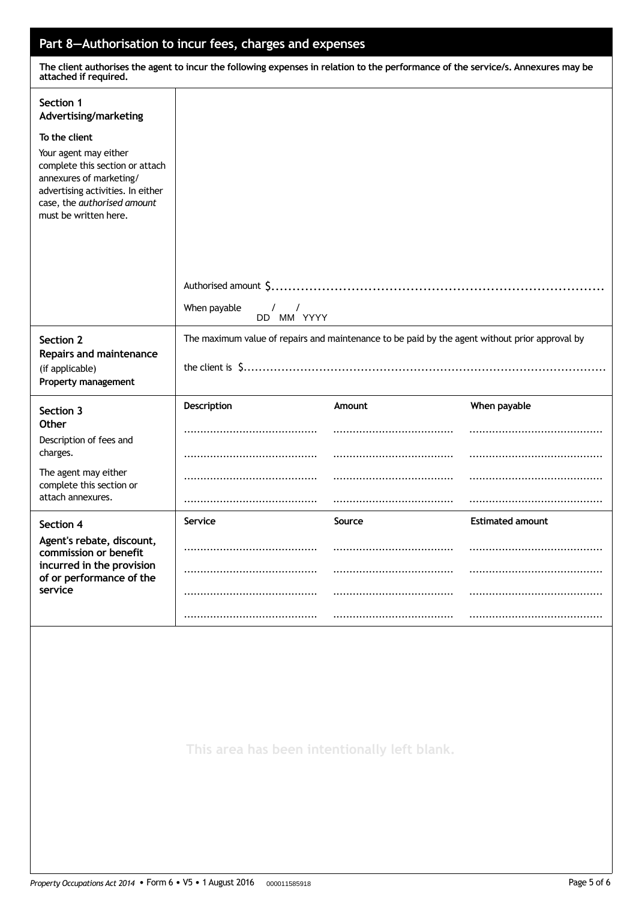# **Part 8—Authorisation to incur fees, charges and expenses**

The client authorises the agent to incur the following expenses in relation to the performance of the service/s. Annexures may be **attached if required.**

| Section 1<br>Advertising/marketing                                                                                                                                               |                                                        |        |                         |  |
|----------------------------------------------------------------------------------------------------------------------------------------------------------------------------------|--------------------------------------------------------|--------|-------------------------|--|
| To the client                                                                                                                                                                    |                                                        |        |                         |  |
| Your agent may either<br>complete this section or attach<br>annexures of marketing/<br>advertising activities. In either<br>case, the authorised amount<br>must be written here. |                                                        |        |                         |  |
|                                                                                                                                                                                  |                                                        |        |                         |  |
|                                                                                                                                                                                  |                                                        |        |                         |  |
|                                                                                                                                                                                  |                                                        |        |                         |  |
|                                                                                                                                                                                  | When payable<br>$\sqrt{2}$<br>$\sqrt{ }$<br>DD MM YYYY |        |                         |  |
| The maximum value of repairs and maintenance to be paid by the agent without prior approval by<br>Section 2<br>Repairs and maintenance                                           |                                                        |        |                         |  |
| (if applicable)<br>Property management                                                                                                                                           |                                                        |        |                         |  |
| Section 3                                                                                                                                                                        | Description                                            | Amount | When payable            |  |
| Other<br>Description of fees and                                                                                                                                                 |                                                        |        |                         |  |
| charges.                                                                                                                                                                         |                                                        |        |                         |  |
| The agent may either<br>complete this section or                                                                                                                                 |                                                        |        |                         |  |
| attach annexures.                                                                                                                                                                |                                                        |        |                         |  |
| Section 4                                                                                                                                                                        | Service                                                | Source | <b>Estimated amount</b> |  |
| Agent's rebate, discount,<br>commission or benefit                                                                                                                               |                                                        |        |                         |  |
| incurred in the provision<br>of or performance of the                                                                                                                            |                                                        |        |                         |  |
| service                                                                                                                                                                          |                                                        |        |                         |  |
|                                                                                                                                                                                  |                                                        |        |                         |  |
|                                                                                                                                                                                  |                                                        |        |                         |  |
|                                                                                                                                                                                  |                                                        |        |                         |  |

**This area has been intentionally left blank.**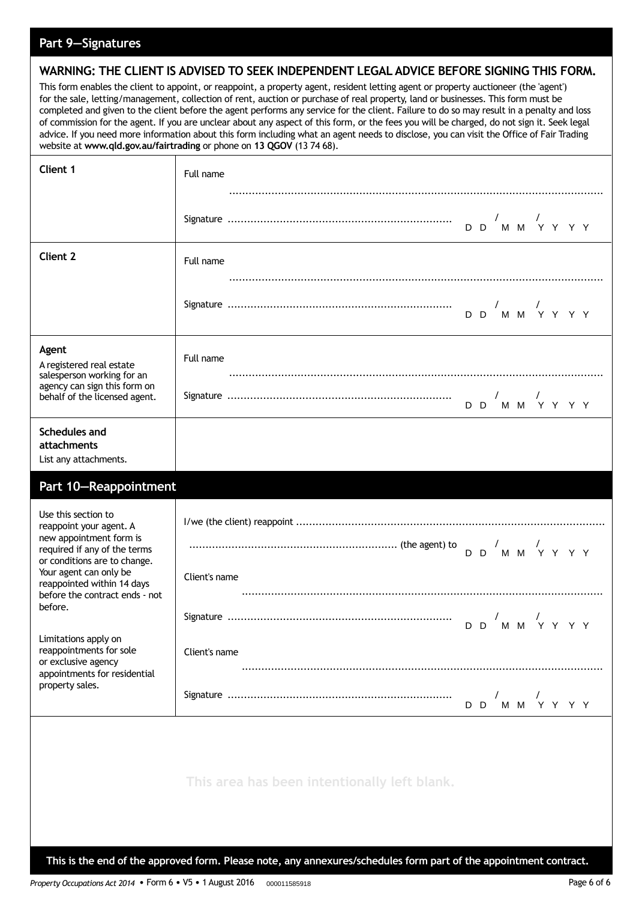# **Part 9—Signatures**

# **WARNING: THE CLIENT IS ADVISED TO SEEK INDEPENDENT LEGAL ADVICE BEFORE SIGNING THIS FORM.**

This form enables the client to appoint, or reappoint, a property agent, resident letting agent or property auctioneer (the 'agent') for the sale, letting/management, collection of rent, auction or purchase of real property, land or businesses. This form must be completed and given to the client before the agent performs any service for the client. Failure to do so may result in a penalty and loss of commission for the agent. If you are unclear about any aspect of this form, or the fees you will be charged, do not sign it. Seek legal advice. If you need more information about this form including what an agent needs to disclose, you can visit the Office of Fair Trading website at **www.qld.gov.au/fairtrading** or phone on **13 QGOV** (13 74 68).

| Client 1                                                                                                                                                                                          | Full name                                    |
|---------------------------------------------------------------------------------------------------------------------------------------------------------------------------------------------------|----------------------------------------------|
|                                                                                                                                                                                                   |                                              |
| <b>Client 2</b>                                                                                                                                                                                   | Full name                                    |
|                                                                                                                                                                                                   |                                              |
| Agent<br>A registered real estate<br>salesperson working for an                                                                                                                                   | Full name                                    |
| agency can sign this form on<br>behalf of the licensed agent.                                                                                                                                     |                                              |
| <b>Schedules and</b><br>attachments<br>List any attachments.                                                                                                                                      |                                              |
| Part 10-Reappointment                                                                                                                                                                             |                                              |
| Use this section to<br>reappoint your agent. A<br>new appointment form is<br>required if any of the terms<br>or conditions are to change.<br>Your agent can only be<br>reappointed within 14 days | Client's name                                |
| before the contract ends - not<br>before.                                                                                                                                                         |                                              |
| Limitations apply on<br>reappointments for sole<br>or exclusive agency                                                                                                                            | Client's name                                |
| appointments for residential<br>property sales.                                                                                                                                                   | M M Y Y Y Y<br>D D                           |
|                                                                                                                                                                                                   | This area has been intentionally left blank. |

This is the end of the approved form. Please note, any annexures/schedules form part of the appointment contract.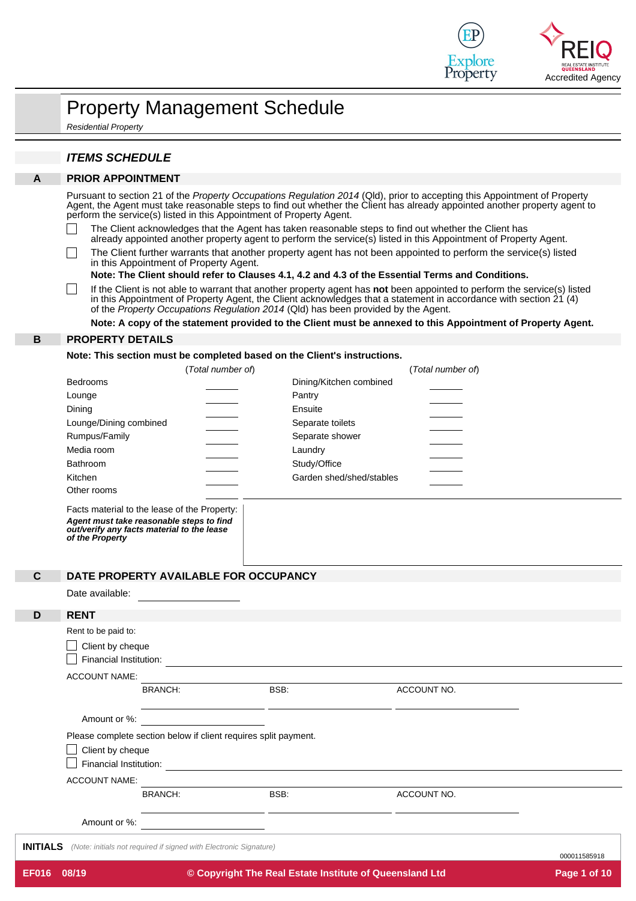

|                                          | <b>ITEMS SCHEDULE</b>                                                                                                                                                                                                                                                                                                                                         |                                                                                     |                                                                                                                                                                                                                                                                                                                                                                                                                                                                                                                                                                                                                                                                                                                                                                                                                                                                                                                                                                                                                                                                            |  |  |  |
|------------------------------------------|---------------------------------------------------------------------------------------------------------------------------------------------------------------------------------------------------------------------------------------------------------------------------------------------------------------------------------------------------------------|-------------------------------------------------------------------------------------|----------------------------------------------------------------------------------------------------------------------------------------------------------------------------------------------------------------------------------------------------------------------------------------------------------------------------------------------------------------------------------------------------------------------------------------------------------------------------------------------------------------------------------------------------------------------------------------------------------------------------------------------------------------------------------------------------------------------------------------------------------------------------------------------------------------------------------------------------------------------------------------------------------------------------------------------------------------------------------------------------------------------------------------------------------------------------|--|--|--|
| $\mathsf{A}$<br><b>PRIOR APPOINTMENT</b> |                                                                                                                                                                                                                                                                                                                                                               |                                                                                     |                                                                                                                                                                                                                                                                                                                                                                                                                                                                                                                                                                                                                                                                                                                                                                                                                                                                                                                                                                                                                                                                            |  |  |  |
|                                          | perform the service(s) listed in this Appointment of Property Agent.<br>in this Appointment of Property Agent.<br>of the Property Occupations Regulation 2014 (Qld) has been provided by the Agent.                                                                                                                                                           |                                                                                     | Pursuant to section 21 of the Property Occupations Regulation 2014 (Qld), prior to accepting this Appointment of Property<br>Agent, the Agent must take reasonable steps to find out whether the Client has already appointed another property agent to<br>The Client acknowledges that the Agent has taken reasonable steps to find out whether the Client has<br>already appointed another property agent to perform the service(s) listed in this Appointment of Property Agent.<br>The Client further warrants that another property agent has not been appointed to perform the service(s) listed<br>Note: The Client should refer to Clauses 4.1, 4.2 and 4.3 of the Essential Terms and Conditions.<br>If the Client is not able to warrant that another property agent has not been appointed to perform the service(s) listed<br>in this Appointment of Property Agent, the Client acknowledges that a statement in accordance with section 21 (4)<br>Note: A copy of the statement provided to the Client must be annexed to this Appointment of Property Agent. |  |  |  |
| B                                        | <b>PROPERTY DETAILS</b>                                                                                                                                                                                                                                                                                                                                       |                                                                                     |                                                                                                                                                                                                                                                                                                                                                                                                                                                                                                                                                                                                                                                                                                                                                                                                                                                                                                                                                                                                                                                                            |  |  |  |
|                                          |                                                                                                                                                                                                                                                                                                                                                               |                                                                                     |                                                                                                                                                                                                                                                                                                                                                                                                                                                                                                                                                                                                                                                                                                                                                                                                                                                                                                                                                                                                                                                                            |  |  |  |
|                                          | Note: This section must be completed based on the Client's instructions.<br>(Total number of)                                                                                                                                                                                                                                                                 |                                                                                     | (Total number of)                                                                                                                                                                                                                                                                                                                                                                                                                                                                                                                                                                                                                                                                                                                                                                                                                                                                                                                                                                                                                                                          |  |  |  |
| С                                        | <b>Bedrooms</b><br>Lounge<br>Dining<br>Lounge/Dining combined<br>Rumpus/Family<br>Media room<br>Bathroom<br>Kitchen<br>Other rooms<br>Facts material to the lease of the Property:<br>Agent must take reasonable steps to find<br>out/verify any facts material to the lease<br>of the Property<br>DATE PROPERTY AVAII ABI E FOR OCCUPANCY<br>Date available: | Pantry<br>Ensuite<br>Separate toilets<br>Separate shower<br>Laundry<br>Study/Office | Dining/Kitchen combined<br>Garden shed/shed/stables                                                                                                                                                                                                                                                                                                                                                                                                                                                                                                                                                                                                                                                                                                                                                                                                                                                                                                                                                                                                                        |  |  |  |
| D                                        | <b>RENT</b>                                                                                                                                                                                                                                                                                                                                                   |                                                                                     |                                                                                                                                                                                                                                                                                                                                                                                                                                                                                                                                                                                                                                                                                                                                                                                                                                                                                                                                                                                                                                                                            |  |  |  |
|                                          | Rent to be paid to:<br>Client by cheque<br>Financial Institution: <b>Contract Contract Contract Contract Contract Contract Contract Contract Contract Contract Contract Contract Contract Contract Contract Contract Contract Contract Contract Contract Contract Contract </b>                                                                               |                                                                                     |                                                                                                                                                                                                                                                                                                                                                                                                                                                                                                                                                                                                                                                                                                                                                                                                                                                                                                                                                                                                                                                                            |  |  |  |
|                                          | <b>ACCOUNT NAME:</b>                                                                                                                                                                                                                                                                                                                                          |                                                                                     |                                                                                                                                                                                                                                                                                                                                                                                                                                                                                                                                                                                                                                                                                                                                                                                                                                                                                                                                                                                                                                                                            |  |  |  |
|                                          | <b>BRANCH:</b>                                                                                                                                                                                                                                                                                                                                                | BSB:                                                                                | ACCOUNT NO.                                                                                                                                                                                                                                                                                                                                                                                                                                                                                                                                                                                                                                                                                                                                                                                                                                                                                                                                                                                                                                                                |  |  |  |
|                                          |                                                                                                                                                                                                                                                                                                                                                               | <u> 1989 - Andrea Stadt Britain, amerikansk politik (* 1958)</u>                    |                                                                                                                                                                                                                                                                                                                                                                                                                                                                                                                                                                                                                                                                                                                                                                                                                                                                                                                                                                                                                                                                            |  |  |  |
|                                          | Amount or %:                                                                                                                                                                                                                                                                                                                                                  |                                                                                     |                                                                                                                                                                                                                                                                                                                                                                                                                                                                                                                                                                                                                                                                                                                                                                                                                                                                                                                                                                                                                                                                            |  |  |  |
|                                          | Please complete section below if client requires split payment.                                                                                                                                                                                                                                                                                               |                                                                                     |                                                                                                                                                                                                                                                                                                                                                                                                                                                                                                                                                                                                                                                                                                                                                                                                                                                                                                                                                                                                                                                                            |  |  |  |
|                                          | Client by cheque<br>Financial Institution:                                                                                                                                                                                                                                                                                                                    |                                                                                     |                                                                                                                                                                                                                                                                                                                                                                                                                                                                                                                                                                                                                                                                                                                                                                                                                                                                                                                                                                                                                                                                            |  |  |  |
|                                          |                                                                                                                                                                                                                                                                                                                                                               |                                                                                     | <u> 1989 - Johann Barn, fransk politik amerikansk politik (d. 1989)</u>                                                                                                                                                                                                                                                                                                                                                                                                                                                                                                                                                                                                                                                                                                                                                                                                                                                                                                                                                                                                    |  |  |  |
|                                          | <b>ACCOUNT NAME:</b><br><b>BRANCH:</b>                                                                                                                                                                                                                                                                                                                        | BSB:                                                                                | ACCOUNT NO.                                                                                                                                                                                                                                                                                                                                                                                                                                                                                                                                                                                                                                                                                                                                                                                                                                                                                                                                                                                                                                                                |  |  |  |
|                                          |                                                                                                                                                                                                                                                                                                                                                               |                                                                                     |                                                                                                                                                                                                                                                                                                                                                                                                                                                                                                                                                                                                                                                                                                                                                                                                                                                                                                                                                                                                                                                                            |  |  |  |
|                                          |                                                                                                                                                                                                                                                                                                                                                               |                                                                                     |                                                                                                                                                                                                                                                                                                                                                                                                                                                                                                                                                                                                                                                                                                                                                                                                                                                                                                                                                                                                                                                                            |  |  |  |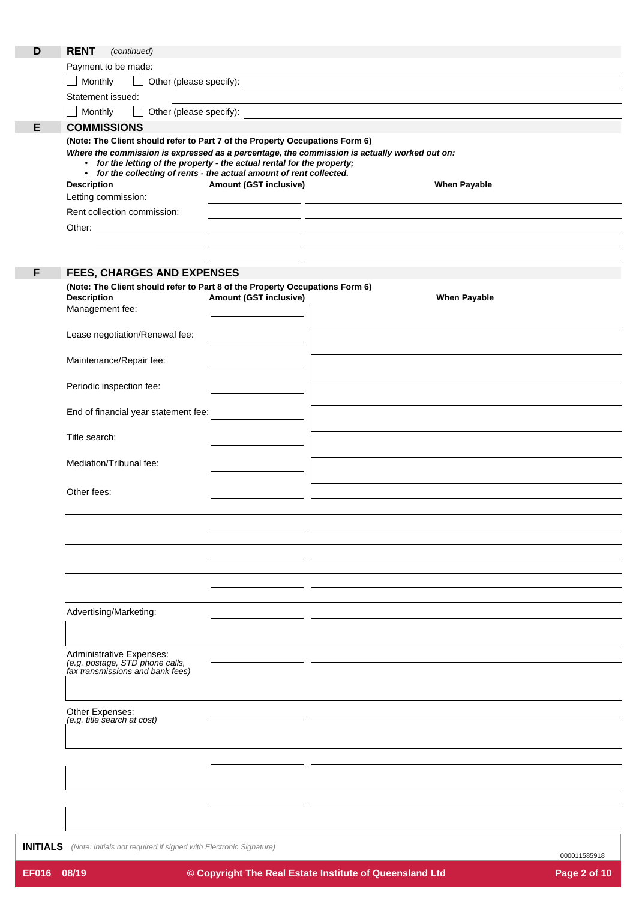| D | <b>RENT</b><br>(continued)                                                                                                                      |                                                                                                                      |                                                                                                                       |
|---|-------------------------------------------------------------------------------------------------------------------------------------------------|----------------------------------------------------------------------------------------------------------------------|-----------------------------------------------------------------------------------------------------------------------|
|   | Payment to be made:                                                                                                                             |                                                                                                                      | <u> 1989 - Johann Stoff, deutscher Stoff, der Stoff, der Stoff, der Stoff, der Stoff, der Stoff, der Stoff, der S</u> |
|   | Monthly<br>$\begin{array}{c} \boxed{1} \end{array}$                                                                                             |                                                                                                                      |                                                                                                                       |
|   | Statement issued:                                                                                                                               |                                                                                                                      |                                                                                                                       |
|   | Monthly                                                                                                                                         |                                                                                                                      |                                                                                                                       |
| Е | <b>COMMISSIONS</b>                                                                                                                              |                                                                                                                      |                                                                                                                       |
|   | (Note: The Client should refer to Part 7 of the Property Occupations Form 6)                                                                    |                                                                                                                      |                                                                                                                       |
|   |                                                                                                                                                 |                                                                                                                      | Where the commission is expressed as a percentage, the commission is actually worked out on:                          |
|   | • for the letting of the property - the actual rental for the property;<br>• for the collecting of rents - the actual amount of rent collected. |                                                                                                                      |                                                                                                                       |
|   | <b>Description</b>                                                                                                                              | Amount (GST inclusive)                                                                                               | <b>When Payable</b>                                                                                                   |
|   | Letting commission:                                                                                                                             |                                                                                                                      | <u> 1999 - Johann Johann Stoff, deutscher Stoffen und der Stoffen und der Stoffen und der Stoffen und der Stoffen</u> |
|   | Rent collection commission:                                                                                                                     |                                                                                                                      | <u> 1989 - Johann John Stone, fransk politiker (d. 1989)</u>                                                          |
|   |                                                                                                                                                 |                                                                                                                      |                                                                                                                       |
|   |                                                                                                                                                 |                                                                                                                      |                                                                                                                       |
|   |                                                                                                                                                 | <u> 1989 - Johann John Stein, markin fizzar a shekara 1980 - 1981 - 1982 - 1982 - 1982 - 1982 - 1982 - 1982 - 19</u> |                                                                                                                       |
| F | FEES, CHARGES AND EXPENSES                                                                                                                      |                                                                                                                      |                                                                                                                       |
|   | (Note: The Client should refer to Part 8 of the Property Occupations Form 6)                                                                    |                                                                                                                      |                                                                                                                       |
|   | <b>Description</b>                                                                                                                              | <b>Amount (GST inclusive)</b>                                                                                        | <b>When Payable</b>                                                                                                   |
|   | Management fee:                                                                                                                                 |                                                                                                                      |                                                                                                                       |
|   |                                                                                                                                                 |                                                                                                                      |                                                                                                                       |
|   | Lease negotiation/Renewal fee:                                                                                                                  |                                                                                                                      |                                                                                                                       |
|   | Maintenance/Repair fee:                                                                                                                         |                                                                                                                      |                                                                                                                       |
|   |                                                                                                                                                 |                                                                                                                      |                                                                                                                       |
|   | Periodic inspection fee:                                                                                                                        |                                                                                                                      |                                                                                                                       |
|   |                                                                                                                                                 |                                                                                                                      |                                                                                                                       |
|   | End of financial year statement fee:                                                                                                            |                                                                                                                      |                                                                                                                       |
|   |                                                                                                                                                 |                                                                                                                      |                                                                                                                       |
|   | Title search:                                                                                                                                   |                                                                                                                      |                                                                                                                       |
|   | Mediation/Tribunal fee:                                                                                                                         |                                                                                                                      |                                                                                                                       |
|   |                                                                                                                                                 |                                                                                                                      |                                                                                                                       |
|   | Other fees:                                                                                                                                     |                                                                                                                      |                                                                                                                       |
|   |                                                                                                                                                 |                                                                                                                      |                                                                                                                       |
|   |                                                                                                                                                 |                                                                                                                      |                                                                                                                       |
|   |                                                                                                                                                 |                                                                                                                      |                                                                                                                       |
|   |                                                                                                                                                 |                                                                                                                      |                                                                                                                       |
|   |                                                                                                                                                 |                                                                                                                      |                                                                                                                       |
|   |                                                                                                                                                 |                                                                                                                      |                                                                                                                       |
|   |                                                                                                                                                 |                                                                                                                      |                                                                                                                       |
|   | Advertising/Marketing:                                                                                                                          |                                                                                                                      |                                                                                                                       |
|   |                                                                                                                                                 |                                                                                                                      |                                                                                                                       |
|   |                                                                                                                                                 |                                                                                                                      |                                                                                                                       |
|   | Administrative Expenses:                                                                                                                        |                                                                                                                      |                                                                                                                       |
|   | (e.g. postage, STD phone calls,<br>fax transmissions and bank fees)                                                                             |                                                                                                                      |                                                                                                                       |
|   |                                                                                                                                                 |                                                                                                                      |                                                                                                                       |
|   |                                                                                                                                                 |                                                                                                                      |                                                                                                                       |
|   | Other Expenses:<br>(e.g. title search at cost)                                                                                                  |                                                                                                                      |                                                                                                                       |
|   |                                                                                                                                                 |                                                                                                                      |                                                                                                                       |
|   |                                                                                                                                                 |                                                                                                                      |                                                                                                                       |
|   |                                                                                                                                                 |                                                                                                                      |                                                                                                                       |
|   |                                                                                                                                                 |                                                                                                                      |                                                                                                                       |
|   |                                                                                                                                                 |                                                                                                                      |                                                                                                                       |
|   |                                                                                                                                                 |                                                                                                                      |                                                                                                                       |
|   |                                                                                                                                                 |                                                                                                                      |                                                                                                                       |

**INITIALS** *(Note: initials not required if signed with Electronic Signature)*

000011585918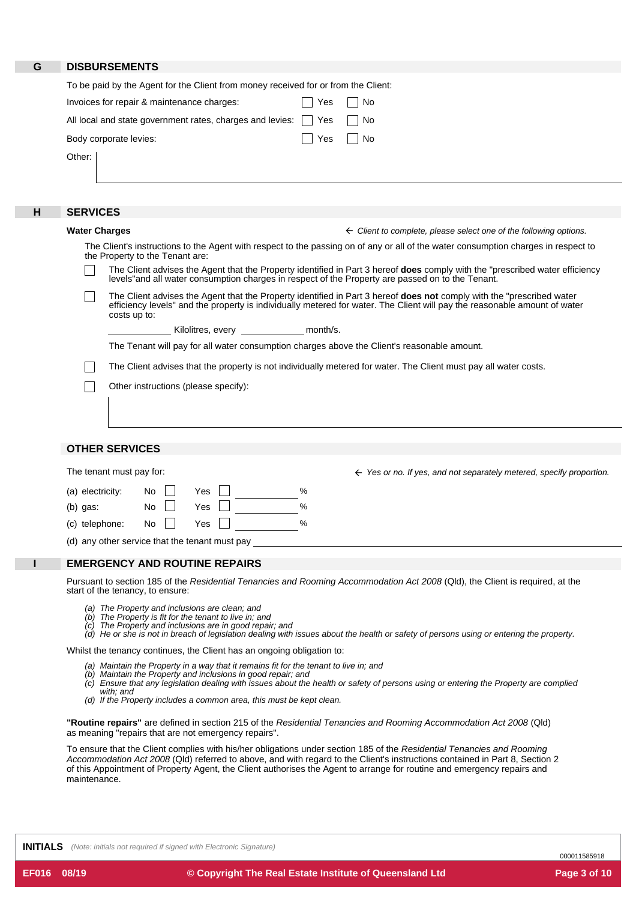| G | <b>DISBURSEMENTS</b>                                                                                                                                                                                                                                                   |
|---|------------------------------------------------------------------------------------------------------------------------------------------------------------------------------------------------------------------------------------------------------------------------|
|   |                                                                                                                                                                                                                                                                        |
|   | To be paid by the Agent for the Client from money received for or from the Client:                                                                                                                                                                                     |
|   | Invoices for repair & maintenance charges:<br>Yes<br>No                                                                                                                                                                                                                |
|   | All local and state government rates, charges and levies:<br>No<br>Yes                                                                                                                                                                                                 |
|   | Body corporate levies:<br>Yes<br>No                                                                                                                                                                                                                                    |
|   | Other:                                                                                                                                                                                                                                                                 |
|   |                                                                                                                                                                                                                                                                        |
|   |                                                                                                                                                                                                                                                                        |
| н | <b>SERVICES</b>                                                                                                                                                                                                                                                        |
|   | <b>Water Charges</b><br>$\leftarrow$ Client to complete, please select one of the following options.                                                                                                                                                                   |
|   | The Client's instructions to the Agent with respect to the passing on of any or all of the water consumption charges in respect to<br>the Property to the Tenant are:                                                                                                  |
|   | The Client advises the Agent that the Property identified in Part 3 hereof does comply with the "prescribed water efficiency<br>levels" and all water consumption charges in respect of the Property are passed on to the Tenant.                                      |
|   | The Client advises the Agent that the Property identified in Part 3 hereof does not comply with the "prescribed water<br>efficiency levels" and the property is individually metered for water. The Client will pay the reasonable amount of water<br>costs up to:     |
|   | month/s.<br>Kilolitres, every                                                                                                                                                                                                                                          |
|   | The Tenant will pay for all water consumption charges above the Client's reasonable amount.                                                                                                                                                                            |
|   | The Client advises that the property is not individually metered for water. The Client must pay all water costs.                                                                                                                                                       |
|   |                                                                                                                                                                                                                                                                        |
|   | Other instructions (please specify):                                                                                                                                                                                                                                   |
|   |                                                                                                                                                                                                                                                                        |
|   |                                                                                                                                                                                                                                                                        |
|   | <b>OTHER SERVICES</b>                                                                                                                                                                                                                                                  |
|   |                                                                                                                                                                                                                                                                        |
|   | The tenant must pay for:<br>$\leftarrow$ Yes or no. If yes, and not separately metered, specify proportion.                                                                                                                                                            |
|   | (a) electricity:<br>No<br>Yes<br>%                                                                                                                                                                                                                                     |
|   | $\%$<br>(b) gas:<br>No.<br>Yes                                                                                                                                                                                                                                         |
|   | (c) telephone:<br>$\frac{0}{0}$<br>Yes<br>No.                                                                                                                                                                                                                          |
|   | (d) any other service that the tenant must pay                                                                                                                                                                                                                         |
|   | <b>EMERGENCY AND ROUTINE REPAIRS</b>                                                                                                                                                                                                                                   |
|   | Pursuant to section 185 of the Residential Tenancies and Rooming Accommodation Act 2008 (Qld), the Client is required, at the                                                                                                                                          |
|   | start of the tenancy, to ensure:                                                                                                                                                                                                                                       |
|   | (a) The Property and inclusions are clean; and<br>(b) The Property is fit for the tenant to live in; and                                                                                                                                                               |
|   | (c) The Property and inclusions are in good repair; and<br>(d) He or she is not in breach of legislation dealing with issues about the health or safety of persons using or entering the property.                                                                     |
|   | Whilst the tenancy continues, the Client has an ongoing obligation to:                                                                                                                                                                                                 |
|   | (a) Maintain the Property in a way that it remains fit for the tenant to live in; and                                                                                                                                                                                  |
|   | (b) Maintain the Property and inclusions in good repair; and<br>(c) Ensure that any legislation dealing with issues about the health or safety of persons using or entering the Property are complied                                                                  |
|   | with; and                                                                                                                                                                                                                                                              |
|   | (d) If the Property includes a common area, this must be kept clean.                                                                                                                                                                                                   |
|   | "Routine repairs" are defined in section 215 of the Residential Tenancies and Rooming Accommodation Act 2008 (Qld)<br>as meaning "repairs that are not emergency repairs".                                                                                             |
|   | To ensure that the Client complies with his/her obligations under section 185 of the Residential Tenancies and Rooming                                                                                                                                                 |
|   | Accommodation Act 2008 (Qld) referred to above, and with regard to the Client's instructions contained in Part 8, Section 2<br>of this Appointment of Property Agent, the Client authorises the Agent to arrange for routine and emergency repairs and<br>maintenance. |

**INITIALS** *(Note: initials not required if signed with Electronic Signature)*

000011585918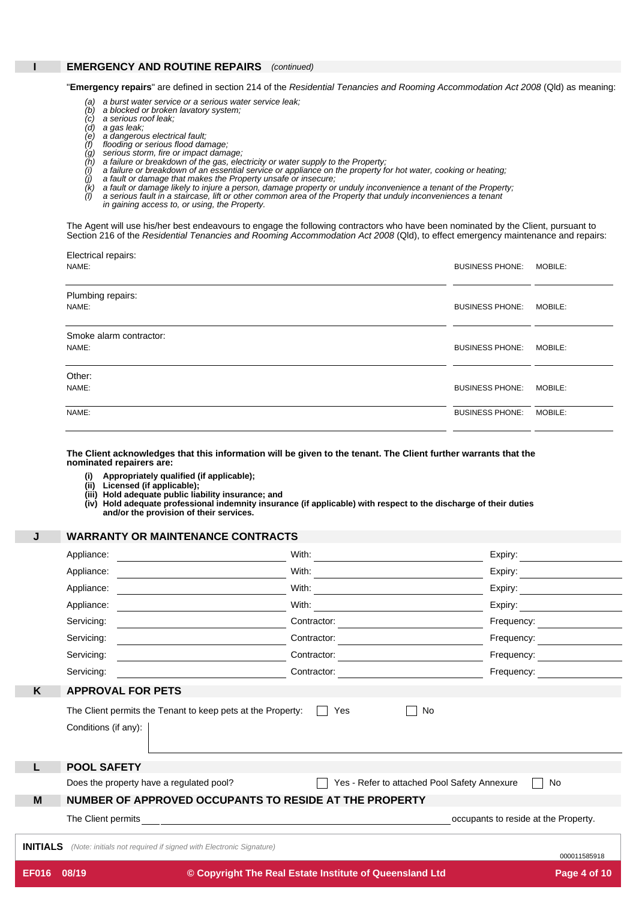### **I EMERGENCY AND ROUTINE REPAIRS** *(continued)*

"**Emergency repairs**" are defined in section 214 of the *Residential Tenancies and Rooming Accommodation Act 2008* (Qld) as meaning:

- a burst water service or a serious water service leak;
- (a) a burst water service or a serious wai<br>(b) a blocked or broken lavatory system; *(b)*
- *(c)*
- *(d) (e)*
- *<sup>a</sup> gas leak; <sup>a</sup> dangerous electrical fault;*
- *(f) (g) flooding or serious flood damage; serious storm, fire or impact damage;*
- *a failure or breakdown of the gas, electricity or water supply to the Property;*
- *(h) (i)* a failure or breakdown of an essential service or appliance on the property for hot water, cooking or heating;<br>a fault or damage that makes the Property unsafe or insecure;
- *(j)*

a fault or damage likely to injure a person, damage property or unduly inconvenience a tenant of the Property;<br>a serious fault in a staircase, lift or other common area of the Property that unduly inconveniences a tenant

- *(k) (l)*
- *in gaining access to, or using, the Property.*

The Agent will use his/her best endeavours to engage the following contractors who have been nominated by the Client, pursuant to Section 216 of the *Residential Tenancies and Rooming Accommodation Act 2008* (Qld), to effect emergency maintenance and repairs:

| Electrical repairs:<br>NAME:     | <b>BUSINESS PHONE:</b> | <b>MOBILE:</b> |
|----------------------------------|------------------------|----------------|
| Plumbing repairs:<br>NAME:       | <b>BUSINESS PHONE:</b> | MOBILE:        |
| Smoke alarm contractor:<br>NAME: | <b>BUSINESS PHONE:</b> | MOBILE:        |
| Other:<br>NAME:                  | <b>BUSINESS PHONE:</b> | MOBILE:        |
| NAME:                            | <b>BUSINESS PHONE:</b> | MOBILE:        |

The Client acknowledges that this information will be given to the tenant. The Client further warrants that the **nominated repairers are:**

- **(i) Appropriately qualified (if applicable);**
- **(ii) Licensed (if applicable);**
- **(iii) Hold adequate public liability insurance; and**

(iv) Hold adequate professional indemnity insurance (if applicable) with respect to the discharge of their duties<br>and/or the provision of their services.

### **J WARRANTY OR MAINTENANCE CONTRACTS**

|                 | Appliance:                                                                          | With:                                                   | Expiry:                                                                                                                                                                                                                        |  |  |  |  |
|-----------------|-------------------------------------------------------------------------------------|---------------------------------------------------------|--------------------------------------------------------------------------------------------------------------------------------------------------------------------------------------------------------------------------------|--|--|--|--|
|                 | Appliance:                                                                          | With: $\qquad \qquad$                                   | Expiry: $\qquad \qquad \qquad$                                                                                                                                                                                                 |  |  |  |  |
|                 | Appliance:                                                                          | With:                                                   | Expiry: Expirity:                                                                                                                                                                                                              |  |  |  |  |
|                 | Appliance:                                                                          | With:                                                   | Expiry:                                                                                                                                                                                                                        |  |  |  |  |
|                 | Servicing:                                                                          | Contractor:                                             | Frequency:                                                                                                                                                                                                                     |  |  |  |  |
|                 | Servicing:                                                                          | Contractor:                                             | Frequency: The control of the control of the control of the control of the control of the control of the control of the control of the control of the control of the control of the control of the control of the control of t |  |  |  |  |
|                 | Servicing:                                                                          | Contractor:                                             | Frequency:                                                                                                                                                                                                                     |  |  |  |  |
|                 | Servicing:                                                                          | Contractor:                                             | Frequency:                                                                                                                                                                                                                     |  |  |  |  |
| K               | <b>APPROVAL FOR PETS</b>                                                            |                                                         |                                                                                                                                                                                                                                |  |  |  |  |
|                 | The Client permits the Tenant to keep pets at the Property:<br>Conditions (if any): | Yes<br>No                                               |                                                                                                                                                                                                                                |  |  |  |  |
| L               | <b>POOL SAFETY</b>                                                                  |                                                         |                                                                                                                                                                                                                                |  |  |  |  |
|                 | Does the property have a regulated pool?                                            | Yes - Refer to attached Pool Safety Annexure            | <b>No</b>                                                                                                                                                                                                                      |  |  |  |  |
| M               | NUMBER OF APPROVED OCCUPANTS TO RESIDE AT THE PROPERTY                              |                                                         |                                                                                                                                                                                                                                |  |  |  |  |
|                 |                                                                                     |                                                         | occupants to reside at the Property.                                                                                                                                                                                           |  |  |  |  |
| <b>INITIALS</b> | (Note: initials not required if signed with Electronic Signature)                   |                                                         | 000011585918                                                                                                                                                                                                                   |  |  |  |  |
| <b>EF016</b>    | 08/19                                                                               | © Copyright The Real Estate Institute of Queensland Ltd | Page 4 of 10                                                                                                                                                                                                                   |  |  |  |  |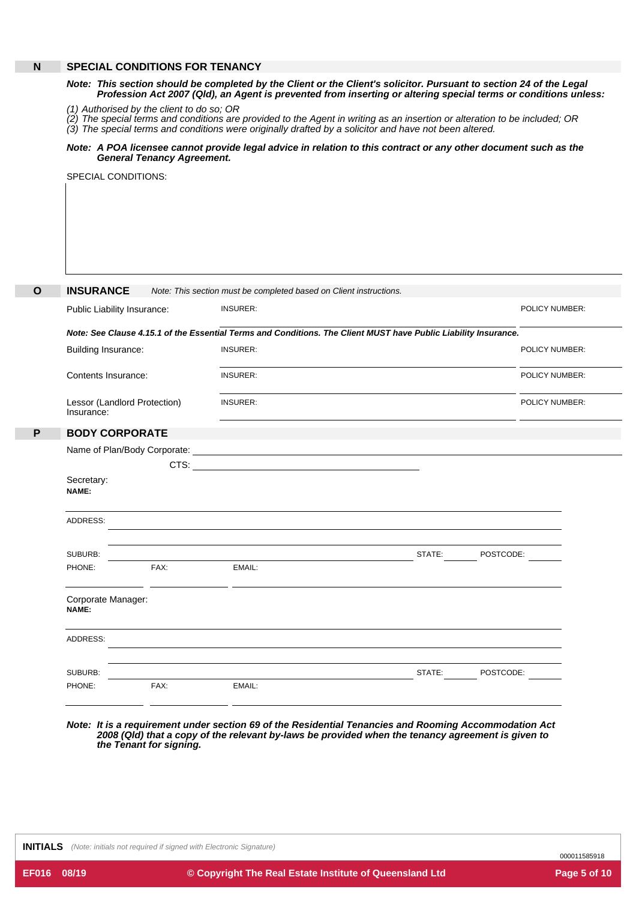# **N SPECIAL CONDITIONS FOR TENANCY**

### Note: This section should be completed by the Client or the Client's solicitor. Pursuant to section 24 of the Legal Profession Act 2007 (Qld), an Agent is prevented from inserting or altering special terms or conditions unless:

*(1) Authorised by the client to do so; OR*

*(2) (3)* The special terms and conditions are provided to the Agent in writing as an insertion or alteration to be included; OR *The special terms and conditions were originally drafted by a solicitor and have not been altered.*

### Note: A POA licensee cannot provide legal advice in relation to this contract or any other document such as the *General Tenancy Agreement.*

SPECIAL CONDITIONS:

| <b>INSURANCE</b>                           |                                                                                                                 | Note: This section must be completed based on Client instructions.                                                    |        |                       |  |  |
|--------------------------------------------|-----------------------------------------------------------------------------------------------------------------|-----------------------------------------------------------------------------------------------------------------------|--------|-----------------------|--|--|
| Public Liability Insurance:                |                                                                                                                 | <b>INSURER:</b>                                                                                                       |        | <b>POLICY NUMBER:</b> |  |  |
|                                            | Note: See Clause 4.15.1 of the Essential Terms and Conditions. The Client MUST have Public Liability Insurance. |                                                                                                                       |        |                       |  |  |
| <b>Building Insurance:</b>                 |                                                                                                                 | <b>INSURER:</b>                                                                                                       |        | POLICY NUMBER:        |  |  |
| Contents Insurance:                        |                                                                                                                 | <b>INSURER:</b>                                                                                                       |        | POLICY NUMBER:        |  |  |
| Lessor (Landlord Protection)<br>Insurance: |                                                                                                                 | <b>INSURER:</b>                                                                                                       |        | POLICY NUMBER:        |  |  |
| <b>BODY CORPORATE</b>                      |                                                                                                                 |                                                                                                                       |        |                       |  |  |
|                                            | Name of Plan/Body Corporate:                                                                                    | <u> 1989 - Johann Stoff, deutscher Stoffen und der Stoffen und der Stoffen und der Stoffen und der Stoffen und de</u> |        |                       |  |  |
|                                            |                                                                                                                 |                                                                                                                       |        |                       |  |  |
| Secretary:<br>NAME:                        |                                                                                                                 |                                                                                                                       |        |                       |  |  |
| ADDRESS:                                   |                                                                                                                 |                                                                                                                       |        |                       |  |  |
| SUBURB:                                    |                                                                                                                 |                                                                                                                       | STATE: | POSTCODE:             |  |  |
| PHONE:                                     | FAX:                                                                                                            | EMAIL:                                                                                                                |        |                       |  |  |
| Corporate Manager:<br>NAME:                | <u> 1986 - Johann Stone, amerikansk politiker (</u>                                                             |                                                                                                                       |        |                       |  |  |
| ADDRESS:                                   |                                                                                                                 |                                                                                                                       |        |                       |  |  |
| SUBURB:                                    |                                                                                                                 |                                                                                                                       | STATE: | POSTCODE:             |  |  |
| PHONE:                                     | FAX:                                                                                                            | EMAIL:                                                                                                                |        |                       |  |  |

*Note: It is a requirement under section 69 of the Residential Tenancies and Rooming Accommodation Act 2008 (Qld) that a copy of the relevant by-laws be provided when the tenancy agreement is given to the Tenant for signing.*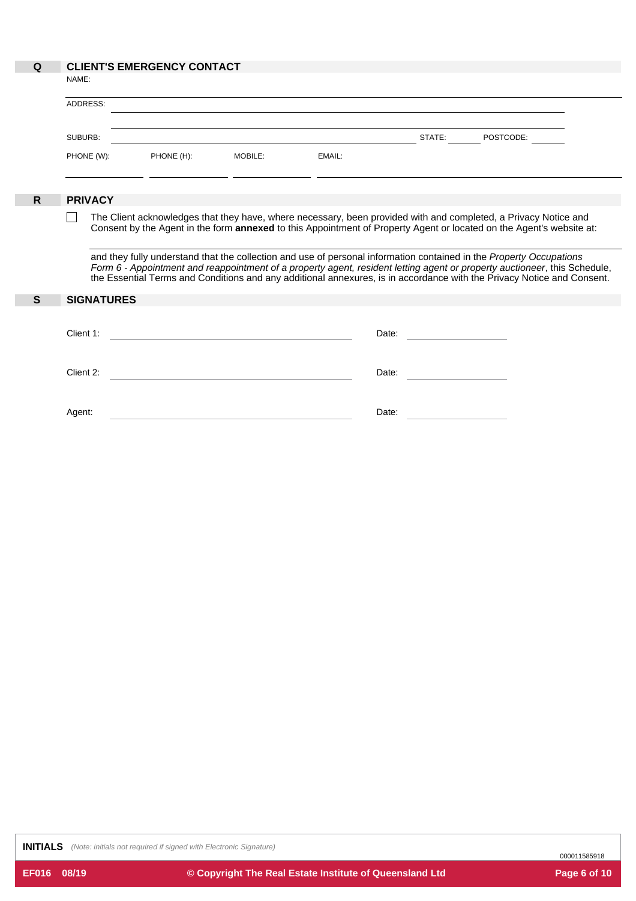# **Q CLIENT'S EMERGENCY CONTACT**

|            | <u>ULILINI U LINLINULINU I UUNIAUI</u> |         |        |        |           |  |
|------------|----------------------------------------|---------|--------|--------|-----------|--|
| NAME:      |                                        |         |        |        |           |  |
| ADDRESS:   |                                        |         |        |        |           |  |
| SUBURB:    |                                        |         |        | STATE: | POSTCODE: |  |
| PHONE (W): | PHONE (H):                             | MOBILE: | EMAIL: |        |           |  |
|            |                                        |         |        |        |           |  |

# **R PRIVACY**

The Client acknowledges that they have, where necessary, been provided with and completed, a Privacy Notice and  $\Box$ Consent by the Agent in the form **annexed** to this Appointment of Property Agent or located on the Agent's website at:

and they fully understand that the collection and use of personal information contained in the *Property Occupations* Form 6 - Appointment and reappointment of a property agent, resident letting agent or property auctioneer, this Schedule, the Essential Terms and Conditions and any additional annexures, is in accordance with the Privacy Notice and Consent.

| S | <b>SIGNATURES</b> |       |  |
|---|-------------------|-------|--|
|   | Client 1:         | Date: |  |
|   | Client 2:         | Date: |  |
|   | Agent:            | Date: |  |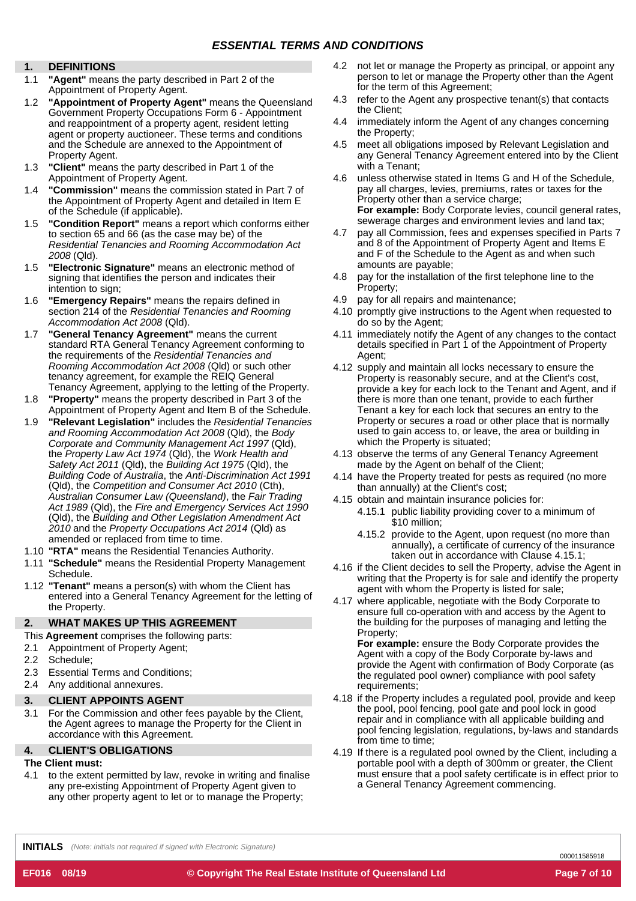# **DEFINITIONS**

- 1.1 **"Agent"** means the party described in Part 2 of the
- Appointment of Property Agent.<br>1.2 **"Appointment of Property Agent"** means the Queensland 4.3 Government Property Occupations Form 6 - Appointment and reappointment of a property agent, resident letting agent or property auctioneer. These terms and conditions and the Schedule are annexed to the Appointment of Property Agent.
- 1.3 **"Client"** means the party described in Part 1 of the with a Tenant;
- 1.4 **"Commission"** means the commission stated in Part 7 of the Appointment of Property Agent and detailed in Item E of the Schedule (if applicable).
- 1.5 **"Condition Report"** means a report which conforms either to section 65 and 66 (as the case may be) of the *Residential Tenancies and Rooming Accommodation Act 2008* (Qld).
- 1.5 **"Electronic Signature"** means an electronic method of signing that identifies the person and indicates their intention to sign;
- 1.6 **"Emergency Repairs"** means the repairs defined in section 214 of the *Residential Tenancies and Rooming Accommodation Act 2008* (Qld).
- 1.7 **"General Tenancy Agreement"** means the current standard RTA General Tenancy Agreement conforming to the requirements of the *Residential Tenancies and Rooming Accommodation Act 2008* (Qld) or such other tenancy agreement, for example the REIQ General Tenancy Agreement, applying to the letting of the Property.
- 1.8 **"Property"** means the property described in Part 3 of the Appointment of Property Agent and Item B of the Schedule.
- 1.9 **"Relevant Legislation"** includes the *Residential Tenancies and Rooming Accommodation Act 2008* (Qld), the *Body Corporate and Community Management Act 1997* (Qld), the *Property Law Act 1974* (Qld), the *Work Health and Safety Act 2011* (Qld), the *Building Act 1975* (Qld), the *Building Code of Australia*, the *Anti-Discrimination Act 1991* (Qld), the *Competition and Consumer Act 2010* (Cth), *Australian Consumer Law (Queensland)*, the *Fair Trading Act 1989* (Qld), the *Fire and Emergency Services Act 1990* (Qld), the *Building and Other Legislation Amendment Act 2010* and the *Property Occupations Act 2014* (Qld) as amended or replaced from time to time.
- 1.10 **"RTA"** means the Residential Tenancies Authority.
- taken out in accordance with Clause 4.15.1; 1.11 **"Schedule"** means the Residential Property Management Schedule.
- 1.12 **"Tenant"** means a person(s) with whom the Client has entered into a General Tenancy Agreement for the letting of the Property.

#### **2. WHAT MAKES UP THIS AGREEMENT**

- This **Agreement** comprises the following parts:
- 2.1 Appointment of Property Agent;
- Schedule; 2.2
- Essential Terms and Conditions; 2.3
- 2.4 Any additional annexures.

#### **3. CLIENT APPOINTS AGENT**

For the Commission and other fees payable by the Client, the Agent agrees to manage the Property for the Client in accordance with this Agreement. 3.1

#### **4. CLIENT'S OBLIGATIONS**

# **The Client must:**

4.1 to the extent permitted by law, revoke in writing and finalise any pre-existing Appointment of Property Agent given to any other property agent to let or to manage the Property;

- **1.** not let or manage the Property as principal, or appoint any 4.2 person to let or manage the Property other than the Agent for the term of this Agreement;
	- refer to the Agent any prospective tenant(s) that contacts the Client;
	- immediately inform the Agent of any changes concerning the Property; 4.4
	- meet all obligations imposed by Relevant Legislation and any General Tenancy Agreement entered into by the Client 4.5
	- Appointment of Property Agent. unless otherwise stated in Items G and H of the Schedule, pay all charges, levies, premiums, rates or taxes for the Property other than a service charge; **For example:** Body Corporate levies, council general rates, sewerage charges and environment levies and land tax;
		- 4.7 pay all Commission, fees and expenses specified in Parts 7 and 8 of the Appointment of Property Agent and Items E and F of the Schedule to the Agent as and when such amounts are payable;
		- pay for the installation of the first telephone line to the Property; 4.8
		- pay for all repairs and maintenance; 4.9
		- 4.10 promptly give instructions to the Agent when requested to do so by the Agent;
		- 4.11 immediately notify the Agent of any changes to the contact details specified in Part 1 of the Appointment of Property Agent;
		- 4.12 supply and maintain all locks necessary to ensure the Property is reasonably secure, and at the Client's cost, provide a key for each lock to the Tenant and Agent, and if there is more than one tenant, provide to each further Tenant a key for each lock that secures an entry to the Property or secures a road or other place that is normally used to gain access to, or leave, the area or building in which the Property is situated;
		- 4.13 observe the terms of any General Tenancy Agreement made by the Agent on behalf of the Client;
		- 4.14 have the Property treated for pests as required (no more than annually) at the Client's cost;
		- 4.15 obtain and maintain insurance policies for:
			- 4.15.1 public liability providing cover to a minimum of \$10 million;
				- 4.15.2 provide to the Agent, upon request (no more than annually), a certificate of currency of the insurance
		- 4.16 if the Client decides to sell the Property, advise the Agent in writing that the Property is for sale and identify the property agent with whom the Property is listed for sale;
		- 4.17 where applicable, negotiate with the Body Corporate to ensure full co-operation with and access by the Agent to the building for the purposes of managing and letting the Property;

**For example:** ensure the Body Corporate provides the Agent with a copy of the Body Corporate by-laws and provide the Agent with confirmation of Body Corporate (as the regulated pool owner) compliance with pool safety requirements:

- 4.18 if the Property includes a regulated pool, provide and keep the pool, pool fencing, pool gate and pool lock in good repair and in compliance with all applicable building and pool fencing legislation, regulations, by-laws and standards from time to time;
- 4.19 If there is a regulated pool owned by the Client, including a portable pool with a depth of 300mm or greater, the Client must ensure that a pool safety certificate is in effect prior to a General Tenancy Agreement commencing.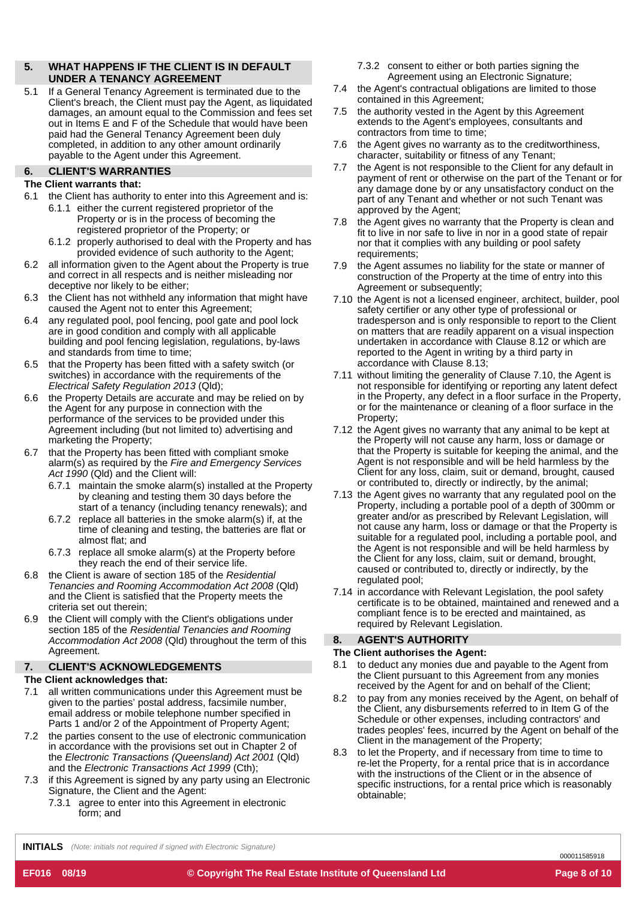#### **5. WHAT HAPPENS IF THE CLIENT IS IN DEFAULT UNDER A TENANCY AGREEMENT**

5.1 If a General Tenancy Agreement is terminated due to the Client's breach, the Client must pay the Agent, as liquidated damages, an amount equal to the Commission and fees set out in Items E and F of the Schedule that would have been paid had the General Tenancy Agreement been duly completed, in addition to any other amount ordinarily payable to the Agent under this Agreement.

# **6. CLIENT'S WARRANTIES**

# **The Client warrants that:**

- 6.1 the Client has authority to enter into this Agreement and is:
	- 6.1.1 either the current registered proprietor of the Property or is in the process of becoming the registered proprietor of the Property; or
	- 6.1.2 properly authorised to deal with the Property and has provided evidence of such authority to the Agent;
- all information given to the Agent about the Property is true and correct in all respects and is neither misleading nor deceptive nor likely to be either; 6.2
- the Client has not withheld any information that might have caused the Agent not to enter this Agreement; 6.3
- any regulated pool, pool fencing, pool gate and pool lock are in good condition and comply with all applicable building and pool fencing legislation, regulations, by-laws and standards from time to time; 6.4
- that the Property has been fitted with a safety switch (or switches) in accordance with the requirements of the *Electrical Safety Regulation 2013* (Qld); 6.5
- the Property Details are accurate and may be relied on by the Agent for any purpose in connection with the performance of the services to be provided under this Agreement including (but not limited to) advertising and marketing the Property; 6.6
- that the Property has been fitted with compliant smoke alarm(s) as required by the *Fire and Emergency Services Act 1990* (Qld) and the Client will: 6.7
	- 6.7.1 maintain the smoke alarm(s) installed at the Property by cleaning and testing them 30 days before the start of a tenancy (including tenancy renewals); and
	- 6.7.2 replace all batteries in the smoke alarm(s) if, at the time of cleaning and testing, the batteries are flat or almost flat; and
	- 6.7.3 replace all smoke alarm(s) at the Property before they reach the end of their service life.
- the Client is aware of section 185 of the *Residential Tenancies and Rooming Accommodation Act 2008* (Qld) and the Client is satisfied that the Property meets the criteria set out therein; 6.8
- the Client will comply with the Client's obligations under section 185 of the *Residential Tenancies and Rooming Accommodation Act 2008* (Qld) throughout the term of this Agreement. 6.9

#### **7. CLIENT'S ACKNOWLEDGEMENTS**

# **The Client acknowledges that:**

- 7.1 all written communications under this Agreement must be given to the parties' postal address, facsimile number, email address or mobile telephone number specified in Parts 1 and/or 2 of the Appointment of Property Agent;
- the parties consent to the use of electronic communication in accordance with the provisions set out in Chapter 2 of the *Electronic Transactions (Queensland) Act 2001* (Qld) and the *Electronic Transactions Act 1999* (Cth); 7.2
- if this Agreement is signed by any party using an Electronic Signature, the Client and the Agent: 7.3
	- 7.3.1 agree to enter into this Agreement in electronic form; and
- 7.3.2 consent to either or both parties signing the Agreement using an Electronic Signature;
- 7.4 the Agent's contractual obligations are limited to those contained in this Agreement;
- the authority vested in the Agent by this Agreement extends to the Agent's employees, consultants and contractors from time to time; 7.5
- the Agent gives no warranty as to the creditworthiness, character, suitability or fitness of any Tenant; 7.6
- the Agent is not responsible to the Client for any default in payment of rent or otherwise on the part of the Tenant or for any damage done by or any unsatisfactory conduct on the part of any Tenant and whether or not such Tenant was approved by the Agent; 7.7
- the Agent gives no warranty that the Property is clean and fit to live in nor safe to live in nor in a good state of repair nor that it complies with any building or pool safety requirements; 7.8
- the Agent assumes no liability for the state or manner of construction of the Property at the time of entry into this Agreement or subsequently; 7.9
- 7.10 the Agent is not a licensed engineer, architect, builder, pool safety certifier or any other type of professional or tradesperson and is only responsible to report to the Client on matters that are readily apparent on a visual inspection undertaken in accordance with Clause 8.12 or which are reported to the Agent in writing by a third party in accordance with Clause 8.13;
- 7.11 without limiting the generality of Clause 7.10, the Agent is not responsible for identifying or reporting any latent defect in the Property, any defect in a floor surface in the Property, or for the maintenance or cleaning of a floor surface in the Property;
- 7.12 the Agent gives no warranty that any animal to be kept at the Property will not cause any harm, loss or damage or that the Property is suitable for keeping the animal, and the Agent is not responsible and will be held harmless by the Client for any loss, claim, suit or demand, brought, caused or contributed to, directly or indirectly, by the animal;
- 7.13 the Agent gives no warranty that any regulated pool on the Property, including a portable pool of a depth of 300mm or greater and/or as prescribed by Relevant Legislation, will not cause any harm, loss or damage or that the Property is suitable for a regulated pool, including a portable pool, and the Agent is not responsible and will be held harmless by the Client for any loss, claim, suit or demand, brought, caused or contributed to, directly or indirectly, by the regulated pool;
- 7.14 in accordance with Relevant Legislation, the pool safety certificate is to be obtained, maintained and renewed and a compliant fence is to be erected and maintained, as required by Relevant Legislation.

#### **8. AGENT'S AUTHORITY**

# **The Client authorises the Agent:**

- 8.1 to deduct any monies due and payable to the Agent from the Client pursuant to this Agreement from any monies received by the Agent for and on behalf of the Client;
- to pay from any monies received by the Agent, on behalf of the Client, any disbursements referred to in Item G of the Schedule or other expenses, including contractors' and trades peoples' fees, incurred by the Agent on behalf of the Client in the management of the Property; 8.2
- 8.3 to let the Property, and if necessary from time to time to re-let the Property, for a rental price that is in accordance with the instructions of the Client or in the absence of specific instructions, for a rental price which is reasonably obtainable;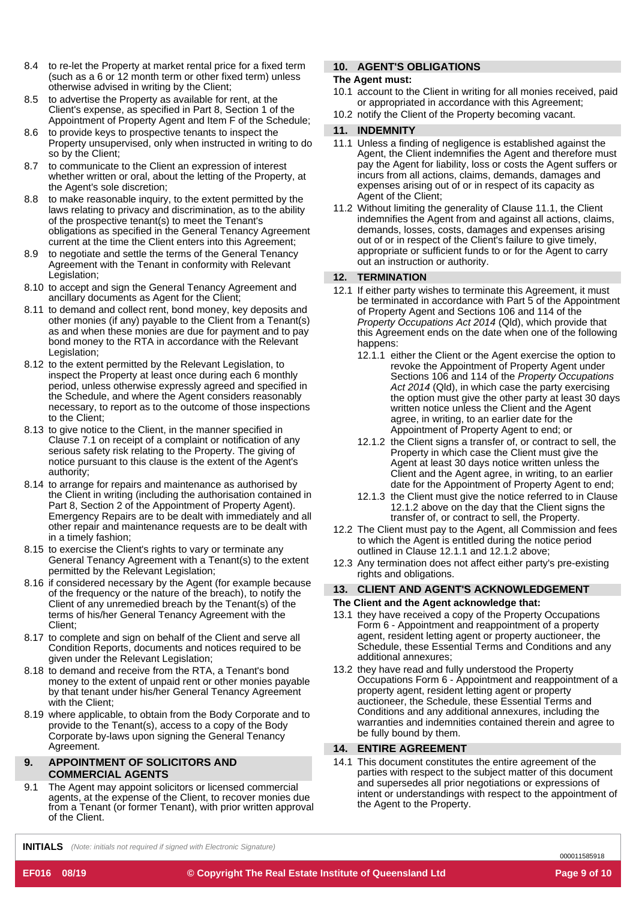- 8.4 to re-let the Property at market rental price for a fixed term (such as a 6 or 12 month term or other fixed term) unless otherwise advised in writing by the Client;
- 8.5 to advertise the Property as available for rent, at the Client's expense, as specified in Part 8, Section 1 of the Appointment of Property Agent and Item F of the Schedule;
- 8.6 to provide keys to prospective tenants to inspect the Property unsupervised, only when instructed in writing to do so by the Client;
- 8.7 to communicate to the Client an expression of interest whether written or oral, about the letting of the Property, at the Agent's sole discretion;
- 8.8 to make reasonable inquiry, to the extent permitted by the laws relating to privacy and discrimination, as to the ability of the prospective tenant(s) to meet the Tenant's obligations as specified in the General Tenancy Agreement current at the time the Client enters into this Agreement;
- 8.9 to negotiate and settle the terms of the General Tenancy Agreement with the Tenant in conformity with Relevant Legislation;
- 8.10 to accept and sign the General Tenancy Agreement and ancillary documents as Agent for the Client;
- 8.11 to demand and collect rent, bond money, key deposits and other monies (if any) payable to the Client from a Tenant(s) as and when these monies are due for payment and to pay bond money to the RTA in accordance with the Relevant Legislation;
- 8.12 to the extent permitted by the Relevant Legislation, to inspect the Property at least once during each 6 monthly period, unless otherwise expressly agreed and specified in the Schedule, and where the Agent considers reasonably necessary, to report as to the outcome of those inspections to the Client;
- 8.13 to give notice to the Client, in the manner specified in Clause 7.1 on receipt of a complaint or notification of any serious safety risk relating to the Property. The giving of notice pursuant to this clause is the extent of the Agent's authority;
- 8.14 to arrange for repairs and maintenance as authorised by the Client in writing (including the authorisation contained in Part 8, Section 2 of the Appointment of Property Agent). Emergency Repairs are to be dealt with immediately and all other repair and maintenance requests are to be dealt with in a timely fashion;
- 8.15 to exercise the Client's rights to vary or terminate any General Tenancy Agreement with a Tenant(s) to the extent permitted by the Relevant Legislation;
- 8.16 if considered necessary by the Agent (for example because of the frequency or the nature of the breach), to notify the Client of any unremedied breach by the Tenant(s) of the terms of his/her General Tenancy Agreement with the Client;
- 8.17 to complete and sign on behalf of the Client and serve all Condition Reports, documents and notices required to be given under the Relevant Legislation;
- 8.18 to demand and receive from the RTA, a Tenant's bond money to the extent of unpaid rent or other monies payable by that tenant under his/her General Tenancy Agreement with the Client;
- 8.19 where applicable, to obtain from the Body Corporate and to provide to the Tenant(s), access to a copy of the Body Corporate by-laws upon signing the General Tenancy Agreement.

#### **9. APPOINTMENT OF SOLICITORS AND COMMERCIAL AGENTS**

The Agent may appoint solicitors or licensed commercial agents, at the expense of the Client, to recover monies due from a Tenant (or former Tenant), with prior written approval of the Client. 9.1

# **10. AGENT'S OBLIGATIONS**

# **The Agent must:**

- 10.1 account to the Client in writing for all monies received, paid or appropriated in accordance with this Agreement;
- 10.2 notify the Client of the Property becoming vacant.

# **11. INDEMNITY**

- Unless a finding of negligence is established against the 11.1 Agent, the Client indemnifies the Agent and therefore must pay the Agent for liability, loss or costs the Agent suffers or incurs from all actions, claims, demands, damages and expenses arising out of or in respect of its capacity as Agent of the Client;
- 11.2 Without limiting the generality of Clause 11.1, the Client indemnifies the Agent from and against all actions, claims, demands, losses, costs, damages and expenses arising out of or in respect of the Client's failure to give timely, appropriate or sufficient funds to or for the Agent to carry out an instruction or authority.

# **12. TERMINATION**

- 12.1 If either party wishes to terminate this Agreement, it must be terminated in accordance with Part 5 of the Appointment of Property Agent and Sections 106 and 114 of the *Property Occupations Act 2014* (Qld), which provide that this Agreement ends on the date when one of the following happens:
	- 12.1.1 either the Client or the Agent exercise the option to revoke the Appointment of Property Agent under Sections 106 and 114 of the *Property Occupations Act 2014* (Qld), in which case the party exercising the option must give the other party at least 30 days written notice unless the Client and the Agent agree, in writing, to an earlier date for the Appointment of Property Agent to end; or
	- 12.1.2 the Client signs a transfer of, or contract to sell, the Property in which case the Client must give the Agent at least 30 days notice written unless the Client and the Agent agree, in writing, to an earlier date for the Appointment of Property Agent to end;
	- 12.1.3 the Client must give the notice referred to in Clause 12.1.2 above on the day that the Client signs the transfer of, or contract to sell, the Property.
- 12.2 The Client must pay to the Agent, all Commission and fees to which the Agent is entitled during the notice period outlined in Clause 12.1.1 and 12.1.2 above;
- 12.3 Any termination does not affect either party's pre-existing rights and obligations.

# **13. CLIENT AND AGENT'S ACKNOWLEDGEMENT The Client and the Agent acknowledge that:**

- 13.1 they have received a copy of the Property Occupations Form 6 - Appointment and reappointment of a property agent, resident letting agent or property auctioneer, the Schedule, these Essential Terms and Conditions and any additional annexures;
- 13.2 they have read and fully understood the Property Occupations Form 6 - Appointment and reappointment of a property agent, resident letting agent or property auctioneer, the Schedule, these Essential Terms and Conditions and any additional annexures, including the warranties and indemnities contained therein and agree to be fully bound by them.

# **14. ENTIRE AGREEMENT**

14.1 This document constitutes the entire agreement of the parties with respect to the subject matter of this document and supersedes all prior negotiations or expressions of intent or understandings with respect to the appointment of the Agent to the Property.